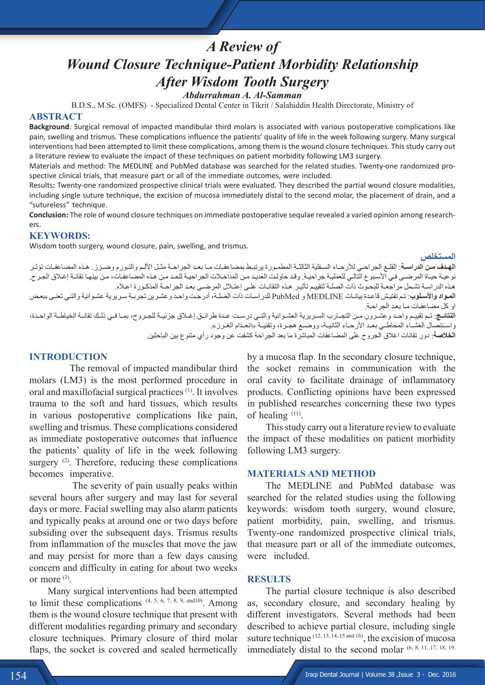# *A Review of Wound Closure Technique-Patient Morbidity Relationship After Wisdom Tooth Surgery Abdurrahman A. Al-Samman*

B.D.S., M.Sc. (OMFS) - Specialized Dental Center in Tikrit / Salahiddin Health Directorate, Ministry of

## **ABSTRACT**

**Background**: Surgical removal of impacted mandibular third molars is associated with various postoperative complications like pain, swelling and trismus. These complications influence the patients' quality of life in the week following surgery. Many surgical interventions had been attempted to limit these complications, among them is the wound closure techniques. This study carry out a literature review to evaluate the impact of these techniques on patient morbidity following LM3 surgery.

Materials and method: The MEDLINE and PubMed database was searched for the related studies. Twenty-one randomized prospective clinical trials, that measure part or all of the immediate outcomes, were included.

Results**:** Twenty-one randomized prospective clinical trials were evaluated. They described the partial wound closure modalities, including single suture technique, the excision of mucosa immediately distal to the second molar, the placement of drain, and a "sutureless" technique.

**Conclusion:** The role of wound closure techniques on immediate postoperative sequlae revealed a varied opinion among researchers.

## **KEYWORDS:**

Wisdom tooth surgery, wound closure, pain, swelling, and trismus.

#### **المستخلص**

**الهـدف مـن الدراسـة**: القلـع الجراحـي لألرحـاء السـفلية الثالثـة المطمـورة يرتبـط بمضاعفـات مـا بعـد الجراحـة مثـل األلـم والتـورم وضـزز. هـذه المضاعفـات تؤثـر نوعيـة حيـاة المرضـى فـي الأسـبوع التالـي للعمليـة جراحيـة. وقـد حاولـت العديد مـن المداخـلات الجراحيـة للحـد مـن هـذه المضـاعفـات، مـن بينهـا تقانـة إغـلاق الجـرح. هـذه الدراسـة تشـمل مراجعـة للبحـوث ذات الصلـة لتقييـم تأثيـر هـذه التقانـات علـى إعتـال المرضـى بعـد الجراحـة المذكـورة اعـاه. **المـواد واألسـلوب**: تـم تفتيـش قاعـدة بيانـات MEDLINE و PubMed للدراسـات ذات الصلـة، أدرجـت واحـد وعشـرين تجربـة سـريرية عشـوائية والتـي تعنـى ببعـض او كل مضاعفـات مـا بعـد الجراحـة. ا**لنتائــج**: تـم تقييـم واحـد وعشـرون مـن التجـارب السـريرية العشـوائية والتــي درسـت عـدة طرائـق إغــلاق جزئيــة للجـروح، بمـا فـي ذلـك تقانــة الخياطــة الواحـدة، واسـتئصال الغشــاء المخاطــي بعـد الأرحــاء الثانيــة، ووضــع هجـرة، وتقنيــة «انعـدام الغـرز». **الخالصة**: دور تقانات اغالق الجروح على المضاعفات المباشرة ما بعد الجراحة كشفت عن وجود رأي متنوع بين الباحثين.

#### **INTRODUCTION**

 The removal of impacted mandibular third molars (LM3) is the most performed procedure in oral and maxillofacial surgical practices (1). It involves trauma to the soft and hard tissues, which results in various postoperative complications like pain, swelling and trismus. These complications considered as immediate postoperative outcomes that influence the patients' quality of life in the week following surgery  $(2)$ . Therefore, reducing these complications becomes imperative.

 The severity of pain usually peaks within several hours after surgery and may last for several days or more. Facial swelling may also alarm patients and typically peaks at around one or two days before subsiding over the subsequent days. Trismus results from inflammation of the muscles that move the jaw and may persist for more than a few days causing concern and difficulty in eating for about two weeks or more (3).

Many surgical interventions had been attempted to limit these complications  $(4, 5, 6, 7, 8, 9, \text{and} 10)$ . Among them is the wound closure technique that present with different modalities regarding primary and secondary closure techniques. Primary closure of third molar flaps, the socket is covered and sealed hermetically

by a mucosa flap. In the secondary closure technique, the socket remains in communication with the oral cavity to facilitate drainage of inflammatory products. Conflicting opinions have been expressed in published researches concerning these two types of healing (11).

This study carry out a literature review to evaluate the impact of these modalities on patient morbidity following LM3 surgery.

#### **MATERIALS AND METHOD**

The MEDLINE and PubMed database was searched for the related studies using the following keywords: wisdom tooth surgery, wound closure, patient morbidity, pain, swelling, and trismus. Twenty-one randomized prospective clinical trials, that measure part or all of the immediate outcomes, were included.

#### **RESULTS**

The partial closure technique is also described as, secondary closure, and secondary healing by different investigators. Several methods had been described to achieve partial closure, including single suture technique (12, 13, 14, 15 and 16), the excision of mucosa immediately distal to the second molar (6, 8, 11, 17, 18, 19,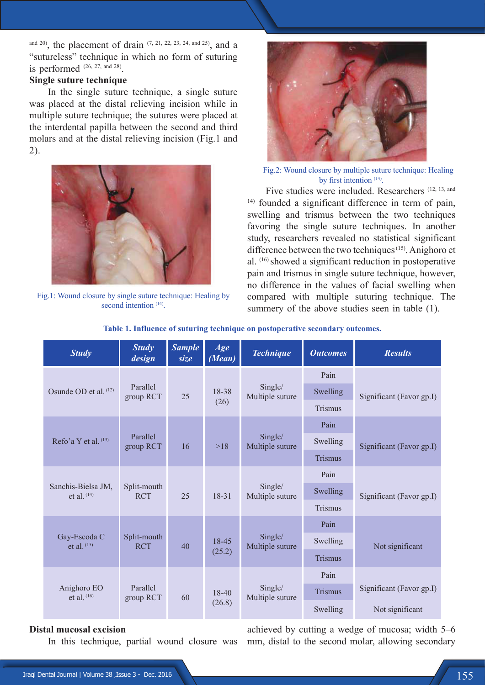and 20), the placement of drain (7, 21, 22, 23, 24, and 25), and a "sutureless" technique in which no form of suturing is performed  $(26, 27, \text{ and } 28)$ .

## **Single suture technique**

In the single suture technique, a single suture was placed at the distal relieving incision while in multiple suture technique; the sutures were placed at the interdental papilla between the second and third molars and at the distal relieving incision (Fig.1 and 2).



Fig.1: Wound closure by single suture technique: Healing by second intention  $(14)$ .



 Fig.2: Wound closure by multiple suture technique: Healing by first intention (14).

Five studies were included. Researchers (12, 13, and 14) founded a significant difference in term of pain, swelling and trismus between the two techniques favoring the single suture techniques. In another study, researchers revealed no statistical significant difference between the two techniques<sup>(15)</sup>. Anighoro et al. (16) showed a significant reduction in postoperative pain and trismus in single suture technique, however, no difference in the values of facial swelling when compared with multiple suturing technique. The summery of the above studies seen in table  $(1)$ .

| <b>Study</b>                      | <b>Study</b><br>design    | <b>Sample</b><br>size | Age<br>(Mean)   | <b>Technique</b>           | <b>Outcomes</b> | <b>Results</b>           |
|-----------------------------------|---------------------------|-----------------------|-----------------|----------------------------|-----------------|--------------------------|
|                                   | Parallel<br>group RCT     | 25                    | 18-38<br>(26)   | Single/<br>Multiple suture | Pain            |                          |
| Osunde OD et al. (12)             |                           |                       |                 |                            | Swelling        | Significant (Favor gp.I) |
|                                   |                           |                       |                 |                            | <b>Trismus</b>  |                          |
|                                   |                           |                       |                 |                            | Pain            |                          |
| Refo'a Y et al. (13).             | Parallel<br>group RCT     | 16                    | >18             | Single/<br>Multiple suture | Swelling        | Significant (Favor gp.I) |
|                                   |                           |                       |                 |                            | <b>Trismus</b>  |                          |
|                                   |                           |                       |                 |                            | Pain            |                          |
| Sanchis-Bielsa JM,<br>et al. (14) | Split-mouth<br><b>RCT</b> | 25                    | 18-31           | Single/<br>Multiple suture | Swelling        | Significant (Favor gp.I) |
|                                   |                           |                       |                 |                            | <b>Trismus</b>  |                          |
|                                   |                           |                       |                 |                            | Pain            |                          |
| Gay-Escoda C<br>et al. (15).      | Split-mouth<br><b>RCT</b> | 40                    | 18-45<br>(25.2) | Single/<br>Multiple suture | Swelling        | Not significant          |
|                                   |                           |                       |                 |                            | <b>Trismus</b>  |                          |
| Anighoro EO<br>et al. $(16)$      | Parallel<br>group RCT     | 60                    | 18-40<br>(26.8) | Single/<br>Multiple suture | Pain            |                          |
|                                   |                           |                       |                 |                            | <b>Trismus</b>  | Significant (Favor gp.I) |
|                                   |                           |                       |                 |                            | Swelling        | Not significant          |

#### **Table 1. Influence of suturing technique on postoperative secondary outcomes.**

## **Distal mucosal excision**

In this technique, partial wound closure was

achieved by cutting a wedge of mucosa; width 5–6 mm, distal to the second molar, allowing secondary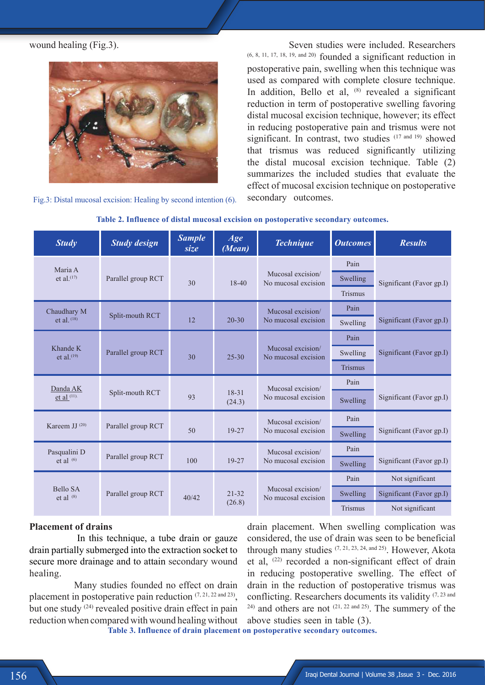wound healing (Fig.3).



Fig.3: Distal mucosal excision: Healing by second intention (6).

 Seven studies were included. Researchers (6, 8, 11, 17, 18, 19, and 20) founded a significant reduction in postoperative pain, swelling when this technique was used as compared with complete closure technique. In addition, Bello et al,  $(8)$  revealed a significant reduction in term of postoperative swelling favoring distal mucosal excision technique, however; its effect in reducing postoperative pain and trismus were not significant. In contrast, two studies (17 and 19) showed that trismus was reduced significantly utilizing the distal mucosal excision technique. Table (2) summarizes the included studies that evaluate the effect of mucosal excision technique on postoperative secondary outcomes.

| <b>Study</b>                   | <b>Study design</b> | <b>Sample</b><br>size | Age<br>(Mean)       | <b>Technique</b>                         | <b>Outcomes</b> | <b>Results</b>           |
|--------------------------------|---------------------|-----------------------|---------------------|------------------------------------------|-----------------|--------------------------|
| Maria A                        |                     |                       |                     |                                          | Pain            |                          |
| et al. $(17)$                  | Parallel group RCT  | 30                    | $18 - 40$           | Mucosal excision/<br>No mucosal excision | Swelling        | Significant (Favor gp.I) |
|                                |                     |                       |                     |                                          | Trismus         |                          |
| Chaudhary M                    | Split-mouth RCT     |                       | Mucosal excision/   | Pain                                     |                 |                          |
| et al. $(18)$                  |                     | 12                    | $20 - 30$           | No mucosal excision                      | Swelling        | Significant (Favor gp.I) |
| Khande K<br>et al. $(19)$      | Parallel group RCT  | 30                    | $25 - 30$           | Mucosal excision/<br>No mucosal excision | Pain            |                          |
|                                |                     |                       |                     |                                          | Swelling        | Significant (Favor gp.I) |
|                                |                     |                       |                     |                                          | <b>Trismus</b>  |                          |
| Danda AK                       |                     |                       |                     | Mucosal excision/                        | Pain            |                          |
| et al $(11)$ .                 | Split-mouth RCT     | 93                    | 18-31<br>(24.3)     | No mucosal excision                      | Swelling        | Significant (Favor gp.I) |
| Kareem JJ $(20)$               | Parallel group RCT  | 50                    | 19-27               | Mucosal excision/                        | Pain            |                          |
|                                |                     |                       |                     | No mucosal excision                      | Swelling        | Significant (Favor gp.I) |
| Pasqualini D<br>et al $(6)$    | Parallel group RCT  | 100                   | 19-27               | Mucosal excision/<br>No mucosal excision | Pain            |                          |
|                                |                     |                       |                     |                                          | Swelling        | Significant (Favor gp.I) |
| <b>Bello SA</b><br>et al $(8)$ | Parallel group RCT  | 40/42                 | $21 - 32$<br>(26.8) |                                          | Pain            | Not significant          |
|                                |                     |                       |                     | Mucosal excision/<br>No mucosal excision | Swelling        | Significant (Favor gp.I) |
|                                |                     |                       |                     |                                          | Trismus         | Not significant          |

#### **Table 2. Influence of distal mucosal excision on postoperative secondary outcomes.**

#### **Placement of drains**

In this technique, a tube drain or gauze drain partially submerged into the extraction socket to secure more drainage and to attain secondary wound healing.

 Many studies founded no effect on drain placement in postoperative pain reduction  $(7, 21, 22 \text{ and } 23)$ . but one study (24) revealed positive drain effect in pain reduction when compared with wound healing without **Table 3. Influence of drain placement on postoperative secondary outcomes.**

drain placement. When swelling complication was considered, the use of drain was seen to be beneficial through many studies  $(7, 21, 23, 24, \text{ and } 25)$ . However, Akota et al, (22) recorded a non-significant effect of drain in reducing postoperative swelling. The effect of drain in the reduction of postoperative trismus was conflicting. Researchers documents its validity (7, 23 and  $24)$  and others are not  $(21, 22 \text{ and } 25)$ . The summery of the above studies seen in table (3).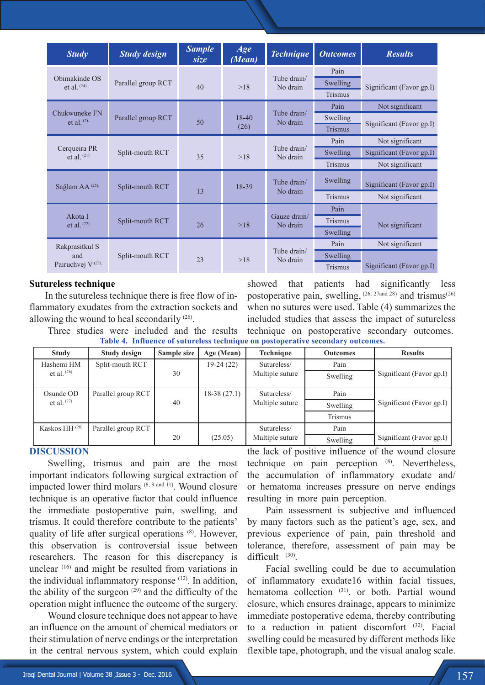| <b>Study</b>                                          | <b>Study design</b> | <b>Sample</b><br>size | Age<br>(Mean)   | <b>Technique</b>         | <b>Outcomes</b> | <b>Results</b>           |
|-------------------------------------------------------|---------------------|-----------------------|-----------------|--------------------------|-----------------|--------------------------|
|                                                       |                     |                       |                 |                          | Pain            |                          |
| Obimakinde OS<br>et al. $(24)$                        | Parallel group RCT  | 40                    | >18             | Tube drain/<br>No drain  | Swelling        | Significant (Favor gp.I) |
|                                                       |                     |                       |                 |                          | <b>Trismus</b>  |                          |
| Chukwuneke FN<br>et al. $(7)$ .                       | Parallel group RCT  | 50                    | $18-40$<br>(26) | Tube drain/<br>No drain  | Pain            | Not significant          |
|                                                       |                     |                       |                 |                          | Swelling        | Significant (Favor gp.I) |
|                                                       |                     |                       |                 |                          | <b>Trismus</b>  |                          |
|                                                       |                     |                       |                 |                          | Pain            | Not significant          |
| Cerqueira PR<br>et al. $(21)$                         | Split-mouth RCT     | 35                    | >18             | Tube drain/<br>No drain  | Swelling        | Significant (Favor gp.I) |
|                                                       |                     |                       |                 |                          | Trismus         | Not significant          |
| Sağlam AA <sup>(25)</sup>                             | Split-mouth RCT     | 13                    | 18-39           | Tube drain/<br>No drain  | Swelling        | Significant (Favor gp.I) |
|                                                       |                     |                       |                 |                          | Trismus         | Not significant          |
|                                                       |                     |                       |                 |                          | Pain            |                          |
| Akota I<br>et al. $(22)$                              | Split-mouth RCT     | 26                    | >18             | Gauze drain/<br>No drain | Trismus         | Not significant          |
|                                                       |                     |                       |                 |                          | Swelling        |                          |
| Rakprasitkul S<br>and<br>Pairuchvej V <sup>(23)</sup> | Split-mouth RCT     | 23                    | >18             | Tube drain/<br>No drain  | Pain            | Not significant          |
|                                                       |                     |                       |                 |                          | Swelling        |                          |
|                                                       |                     |                       |                 |                          | Trismus         | Significant (Favor gp.I) |

## **Sutureless technique**

In the sutureless technique there is free flow of inflammatory exudates from the extraction sockets and allowing the wound to heal secondarily (26).

showed that patients had significantly less postoperative pain, swelling,  $(26, 27)$  and trismus<sup>(26)</sup> when no sutures were used. Table (4) summarizes the included studies that assess the impact of sutureless technique on postoperative secondary outcomes. **Table 4. Influence of sutureless technique on postoperative secondary outcomes.** 

Three studies were included and the results

| <b>Study</b>              | Study design       | Sample size | Age (Mean)    | Technique       | <b>Outcomes</b> | <b>Results</b>           |
|---------------------------|--------------------|-------------|---------------|-----------------|-----------------|--------------------------|
| Hashemi HM                | Split-mouth RCT    |             | $19-24(22)$   | Sutureless/     | Pain            |                          |
| et al. $(26)$             |                    | 30          |               | Multiple suture | Swelling        | Significant (Favor gp.I) |
| Osunde OD                 | Parallel group RCT |             | $18-38(27.1)$ | Sutureless/     | Pain            |                          |
| et al. $(27)$             |                    | 40          |               | Multiple suture | Swelling        | Significant (Favor gp.I) |
|                           |                    |             |               |                 | Trismus         |                          |
| Kaskos HH <sup>(28)</sup> | Parallel group RCT |             |               | Sutureless/     | Pain            |                          |
|                           |                    | 20          | (25.05)       | Multiple suture | Swelling        | Significant (Favor gp.I) |

## **DISCUSSION**

Swelling, trismus and pain are the most important indicators following surgical extraction of impacted lower third molars (8, 9 and 11). Wound closure technique is an operative factor that could influence the immediate postoperative pain, swelling, and trismus. It could therefore contribute to the patients' quality of life after surgical operations (8). However, this observation is controversial issue between researchers. The reason for this discrepancy is unclear (16) and might be resulted from variations in the individual inflammatory response (12). In addition, the ability of the surgeon  $(29)$  and the difficulty of the operation might influence the outcome of the surgery.

Wound closure technique does not appear to have an influence on the amount of chemical mediators or their stimulation of nerve endings or the interpretation in the central nervous system, which could explain the lack of positive influence of the wound closure technique on pain perception (8). Nevertheless, the accumulation of inflammatory exudate and/ or hematoma increases pressure on nerve endings resulting in more pain perception.

Pain assessment is subjective and influenced by many factors such as the patient's age, sex, and previous experience of pain, pain threshold and tolerance, therefore, assessment of pain may be difficult  $(30)$ 

Facial swelling could be due to accumulation of inflammatory exudate16 within facial tissues, hematoma collection <sup>(31)</sup>, or both. Partial wound closure, which ensures drainage, appears to minimize immediate postoperative edema, thereby contributing to a reduction in patient discomfort (32). Facial swelling could be measured by different methods like flexible tape, photograph, and the visual analog scale.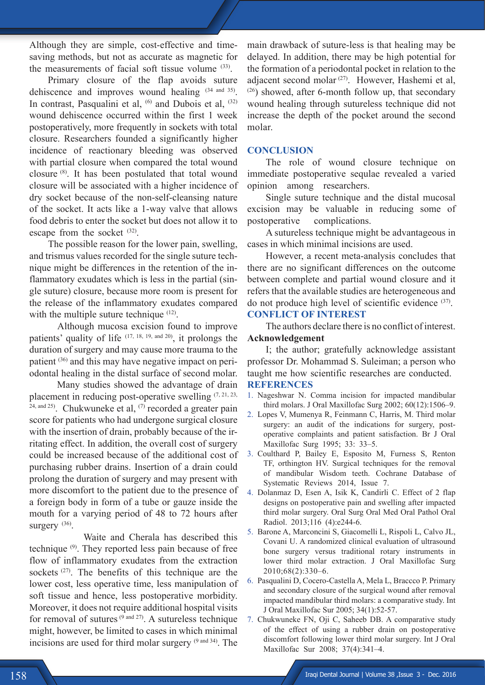Although they are simple, cost-effective and timesaving methods, but not as accurate as magnetic for the measurements of facial soft tissue volume  $(33)$ .

Primary closure of the flap avoids suture dehiscence and improves wound healing (34 and 35). In contrast, Pasqualini et al,  $(6)$  and Dubois et al,  $(32)$ wound dehiscence occurred within the first 1 week postoperatively, more frequently in sockets with total closure. Researchers founded a significantly higher incidence of reactionary bleeding was observed with partial closure when compared the total wound closure (8). It has been postulated that total wound closure will be associated with a higher incidence of dry socket because of the non-self-cleansing nature of the socket. It acts like a 1-way valve that allows food debris to enter the socket but does not allow it to escape from the socket <sup>(32)</sup>.

The possible reason for the lower pain, swelling, and trismus values recorded for the single suture technique might be differences in the retention of the inflammatory exudates which is less in the partial (single suture) closure, because more room is present for the release of the inflammatory exudates compared with the multiple suture technique <sup>(12)</sup>.

 Although mucosa excision found to improve patients' quality of life  $(17, 18, 19, \text{and } 20)$ , it prolongs the duration of surgery and may cause more trauma to the patient (36) and this may have negative impact on periodontal healing in the distal surface of second molar.

 Many studies showed the advantage of drain placement in reducing post-operative swelling  $(7, 21, 23, 31)$  $24$ , and  $25$ ). Chukwuneke et al,  $(7)$  recorded a greater pain score for patients who had undergone surgical closure with the insertion of drain, probably because of the irritating effect. In addition, the overall cost of surgery could be increased because of the additional cost of purchasing rubber drains. Insertion of a drain could prolong the duration of surgery and may present with more discomfort to the patient due to the presence of a foreign body in form of a tube or gauze inside the mouth for a varying period of 48 to 72 hours after surgery  $(36)$ .

 Waite and Cherala has described this technique (9). They reported less pain because of free flow of inflammatory exudates from the extraction sockets<sup>(27)</sup>. The benefits of this technique are the lower cost, less operative time, less manipulation of soft tissue and hence, less postoperative morbidity. Moreover, it does not require additional hospital visits for removal of sutures  $(9 \text{ and } 27)$ . A sutureless technique might, however, be limited to cases in which minimal incisions are used for third molar surgery <sup>(9 and 34)</sup>. The

main drawback of suture-less is that healing may be delayed. In addition, there may be high potential for the formation of a periodontal pocket in relation to the adjacent second molar (27). However, Hashemi et al,  $(26)$  showed, after 6-month follow up, that secondary wound healing through sutureless technique did not increase the depth of the pocket around the second molar.

#### **CONCLUSION**

The role of wound closure technique on immediate postoperative sequlae revealed a varied opinion among researchers.

Single suture technique and the distal mucosal excision may be valuable in reducing some of postoperative complications.

A sutureless technique might be advantageous in cases in which minimal incisions are used.

However, a recent meta-analysis concludes that there are no significant differences on the outcome between complete and partial wound closure and it refers that the available studies are heterogeneous and do not produce high level of scientific evidence (37).

# **CONFLICT OF INTEREST**

The authors declare there is no conflict of interest. **Acknowledgement**

I; the author; gratefully acknowledge assistant professor Dr. Mohammad S. Suleiman; a person who taught me how scientific researches are conducted. **REFERENCES**

- 1. Nageshwar N. Comma incision for impacted mandibular third molars. J Oral Maxillofac Surg 2002; 60(12):1506–9.
- 2. Lopes V, Mumenya R, Feinmann C, Harris, M. Third molar surgery: an audit of the indications for surgery, postoperative complaints and patient satisfaction. Br J Oral Maxillofac Surg 1995; 33: 33–5.
- 3. Coulthard P, Bailey E, Esposito M, Furness S, Renton TF, orthington HV. Surgical techniques for the removal of mandibular Wisdom teeth. Cochrane Database of Systematic Reviews 2014, Issue 7.
- 4. Dolanmaz D, Esen A, Isik K, Candirli C. Effect of 2 flap designs on postoperative pain and swelling after impacted third molar surgery. Oral Surg Oral Med Oral Pathol Oral Radiol. 2013;116 (4):e244-6.
- 5. Barone A, Marconcini S, Giacomelli L, Rispoli L, Calvo JL, Covani U. A randomized clinical evaluation of ultrasound bone surgery versus traditional rotary instruments in lower third molar extraction. J Oral Maxillofac Surg 2010;68(2):330–6.
- 6. Pasqualini D, Cocero-Castella A, Mela L, Braccco P. Primary and secondary closure of the surgical wound after removal impacted mandibular third molars: a comparative study. Int J Oral Maxillofac Sur 2005; 34(1):52-57.
- 7. Chukwuneke FN, Oji C, Saheeb DB. A comparative study of the effect of using a rubber drain on postoperative discomfort following lower third molar surgery. Int J Oral Maxillofac Sur 2008; 37(4):341–4.